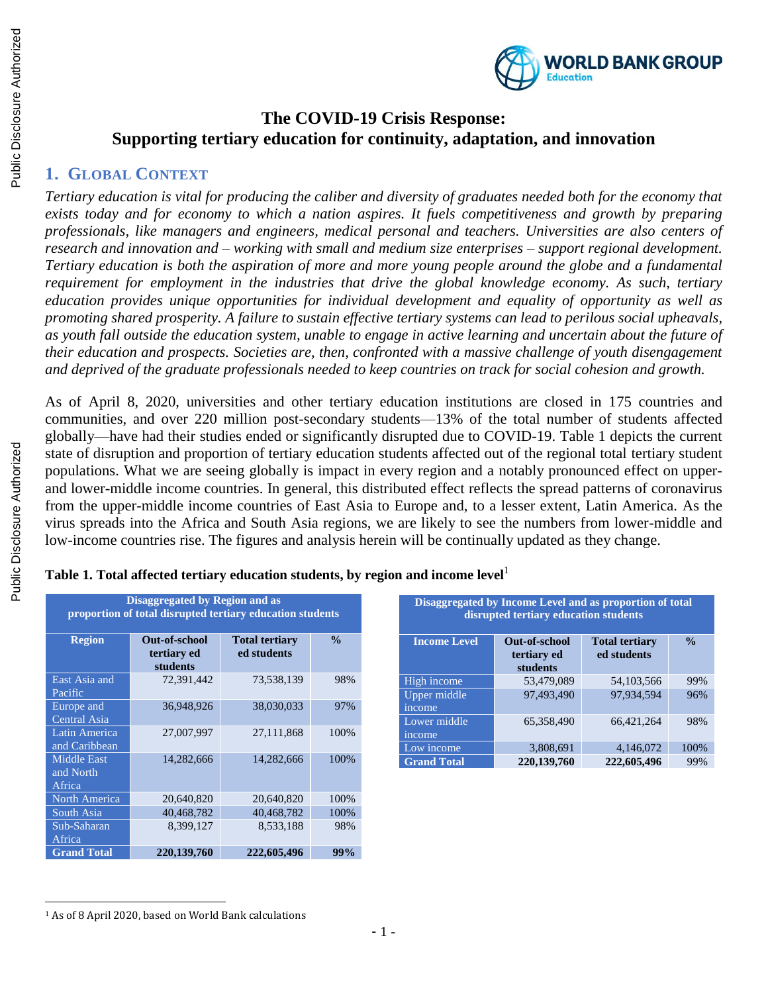

# **The COVID-19 Crisis Response: Supporting tertiary education for continuity, adaptation, and innovation**

# **1. GLOBAL CONTEXT**

*Tertiary education is vital for producing the caliber and diversity of graduates needed both for the economy that exists today and for economy to which a nation aspires. It fuels competitiveness and growth by preparing professionals, like managers and engineers, medical personal and teachers. Universities are also centers of research and innovation and – working with small and medium size enterprises – support regional development. Tertiary education is both the aspiration of more and more young people around the globe and a fundamental requirement for employment in the industries that drive the global knowledge economy. As such, tertiary education provides unique opportunities for individual development and equality of opportunity as well as promoting shared prosperity. A failure to sustain effective tertiary systems can lead to perilous social upheavals, as youth fall outside the education system, unable to engage in active learning and uncertain about the future of their education and prospects. Societies are, then, confronted with a massive challenge of youth disengagement and deprived of the graduate professionals needed to keep countries on track for social cohesion and growth.* 

As of April 8, 2020, universities and other tertiary education institutions are closed in 175 countries and communities, and over 220 million post-secondary students—13% of the total number of students affected globally—have had their studies ended or significantly disrupted due to COVID-19. Table 1 depicts the current state of disruption and proportion of tertiary education students affected out of the regional total tertiary student populations. What we are seeing globally is impact in every region and a notably pronounced effect on upperand lower-middle income countries. In general, this distributed effect reflects the spread patterns of coronavirus from the upper-middle income countries of East Asia to Europe and, to a lesser extent, Latin America. As the virus spreads into the Africa and South Asia regions, we are likely to see the numbers from lower-middle and low-income countries rise. The figures and analysis herein will be continually updated as they change.

| <b>Disaggregated by Region and as</b><br>proportion of total disrupted tertiary education students |                                                 |                                      |               |  |
|----------------------------------------------------------------------------------------------------|-------------------------------------------------|--------------------------------------|---------------|--|
| <b>Region</b>                                                                                      | <b>Out-of-school</b><br>tertiary ed<br>students | <b>Total tertiary</b><br>ed students | $\frac{0}{0}$ |  |
| East Asia and<br>Pacific                                                                           | 72,391,442                                      | 73,538,139                           | 98%           |  |
| Europe and<br>Central Asia                                                                         | 36.948.926                                      | 38,030,033                           | 97%           |  |
| Latin America<br>and Caribbean                                                                     | 27,007,997                                      | 27,111,868                           | 100%          |  |
| <b>Middle East</b><br>and North<br>Africa                                                          | 14,282,666                                      | 14,282,666                           | 100%          |  |
| North America                                                                                      | 20,640,820                                      | 20,640,820                           | 100%          |  |
| South Asia                                                                                         | 40,468,782                                      | 40.468.782                           | 100%          |  |
| Sub-Saharan<br>Africa                                                                              | 8,399,127                                       | 8,533,188                            | 98%           |  |
| <b>Grand Total</b>                                                                                 | 220, 139, 760                                   | 222,605,496                          | 99%           |  |

| Disaggregated by Income Level and as proportion of total<br>disrupted tertiary education students |                                                 |                                      |               |  |
|---------------------------------------------------------------------------------------------------|-------------------------------------------------|--------------------------------------|---------------|--|
| <b>Income Level</b>                                                                               | <b>Out-of-school</b><br>tertiary ed<br>students | <b>Total tertiary</b><br>ed students | $\frac{0}{0}$ |  |
| High income                                                                                       | 53,479,089                                      | 54,103,566                           | 99%           |  |
| Upper middle<br>income                                                                            | 97,493,490                                      | 97,934,594                           | 96%           |  |
| Lower middle<br>income                                                                            | 65.358.490                                      | 66.421.264                           | 98%           |  |
| Low income                                                                                        | 3.808.691                                       | 4.146.072                            | 100\%         |  |
| <b>Grand Total</b>                                                                                | 220,139,760                                     | 222,605,496                          | 99%           |  |

**Table 1. Total affected tertiary education students, by region and income level**<sup>1</sup>

 $\overline{\phantom{a}}$ 

<sup>1</sup> As of 8 April 2020, based on World Bank calculations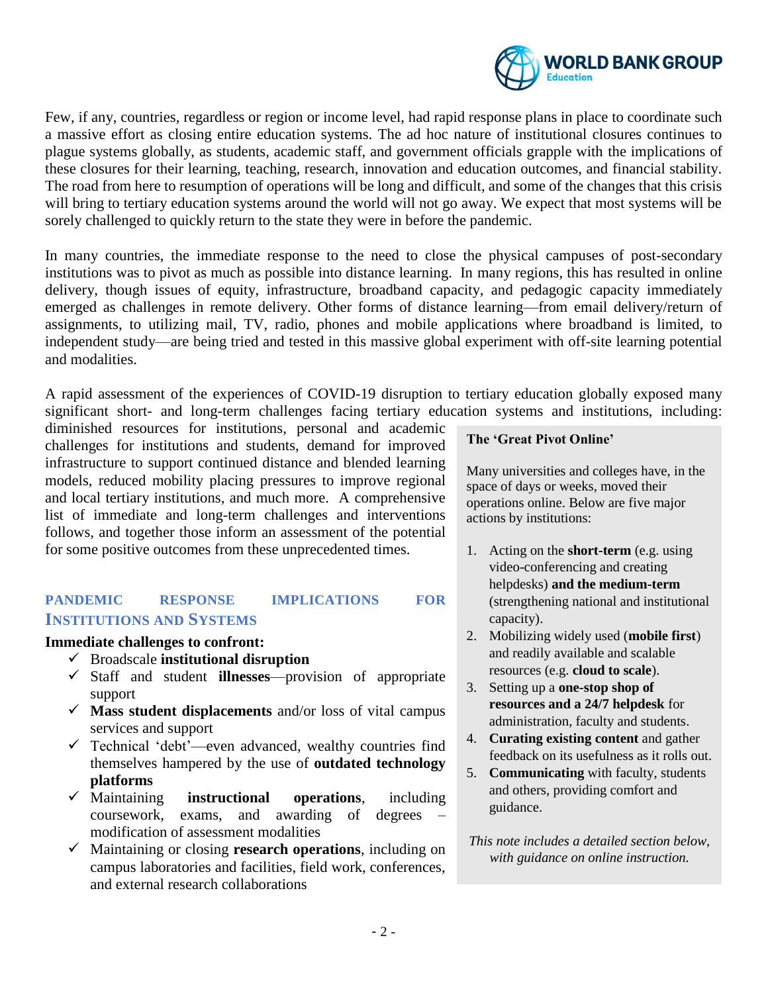

Few, if any, countries, regardless or region or income level, had rapid response plans in place to coordinate such a massive effort as closing entire education systems. The ad hoc nature of institutional closures continues to plague systems globally, as students, academic staff, and government officials grapple with the implications of these closures for their learning, teaching, research, innovation and education outcomes, and financial stability. The road from here to resumption of operations will be long and difficult, and some of the changes that this crisis will bring to tertiary education systems around the world will not go away. We expect that most systems will be sorely challenged to quickly return to the state they were in before the pandemic.

In many countries, the immediate response to the need to close the physical campuses of post-secondary institutions was to pivot as much as possible into distance learning. In many regions, this has resulted in online delivery, though issues of equity, infrastructure, broadband capacity, and pedagogic capacity immediately emerged as challenges in remote delivery. Other forms of distance learning—from email delivery/return of assignments, to utilizing mail, TV, radio, phones and mobile applications where broadband is limited, to independent study—are being tried and tested in this massive global experiment with off-site learning potential and modalities.

A rapid assessment of the experiences of COVID-19 disruption to tertiary education globally exposed many significant short- and long-term challenges facing tertiary education systems and institutions, including:

diminished resources for institutions, personal and academic challenges for institutions and students, demand for improved infrastructure to support continued distance and blended learning models, reduced mobility placing pressures to improve regional and local tertiary institutions, and much more. A comprehensive list of immediate and long-term challenges and interventions follows, and together those inform an assessment of the potential for some positive outcomes from these unprecedented times.

## **PANDEMIC RESPONSE IMPLICATIONS FOR INSTITUTIONS AND SYSTEMS**

#### **Immediate challenges to confront:**

- ✓ Broadscale **institutional disruption**
- ✓ Staff and student **illnesses**—provision of appropriate support
- ✓ **Mass student displacements** and/or loss of vital campus services and support
- ✓ Technical 'debt'—even advanced, wealthy countries find themselves hampered by the use of **outdated technology platforms**
- ✓ Maintaining **instructional operations**, including coursework, exams, and awarding of degrees – modification of assessment modalities
- ✓ Maintaining or closing **research operations**, including on campus laboratories and facilities, field work, conferences, and external research collaborations

#### **The 'Great Pivot Online'**

Many universities and colleges have, in the space of days or weeks, moved their operations online. Below are five major actions by institutions:

- 1. Acting on the **short-term** (e.g. using video-conferencing and creating helpdesks) **and the medium-term** (strengthening national and institutional capacity).
- 2. Mobilizing widely used (**mobile first**) and readily available and scalable resources (e.g. **cloud to scale**).
- 3. Setting up a **one-stop shop of resources and a 24/7 helpdesk** for administration, faculty and students.
- 4. **Curating existing content** and gather feedback on its usefulness as it rolls out.
- 5. **Communicating** with faculty, students and others, providing comfort and guidance.
- *This note includes a detailed section below, with guidance on online instruction.*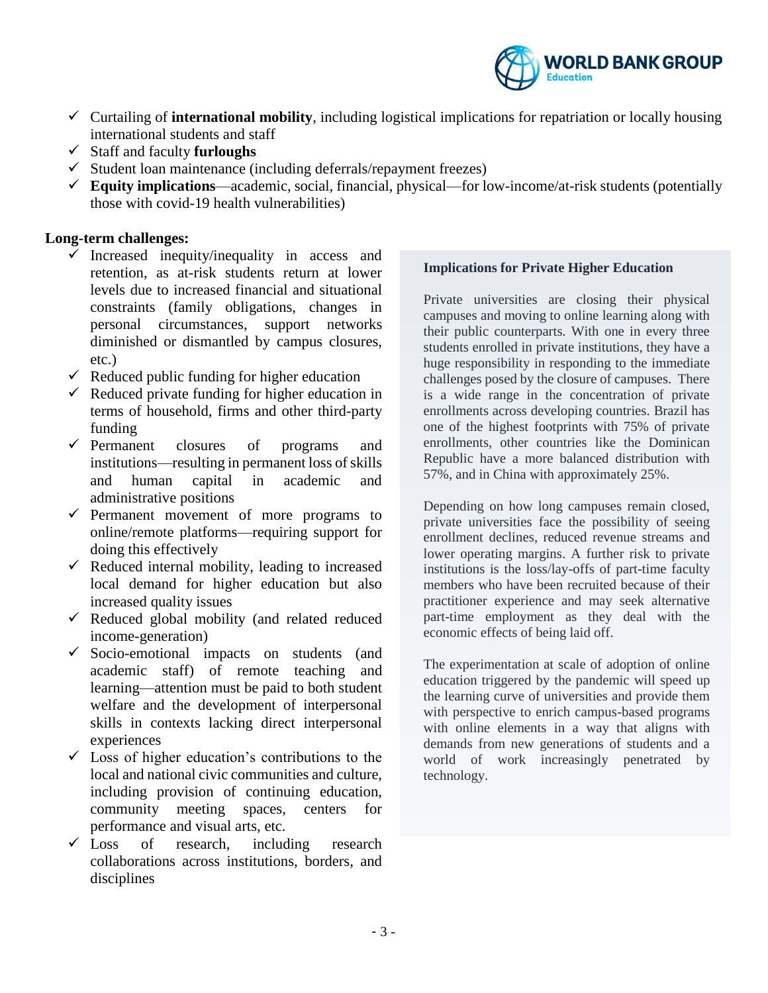

- ✓ Curtailing of **international mobility**, including logistical implications for repatriation or locally housing international students and staff
- ✓ Staff and faculty **furloughs**
- $\checkmark$  Student loan maintenance (including deferrals/repayment freezes)
- ✓ **Equity implications**—academic, social, financial, physical—for low-income/at-risk students (potentially those with covid-19 health vulnerabilities)

#### **Long-term challenges:**

- $\checkmark$  Increased inequity/inequality in access and retention, as at-risk students return at lower levels due to increased financial and situational constraints (family obligations, changes in personal circumstances, support networks diminished or dismantled by campus closures, etc.)
- $\checkmark$  Reduced public funding for higher education
- $\checkmark$  Reduced private funding for higher education in terms of household, firms and other third-party funding
- ✓ Permanent closures of programs and institutions—resulting in permanent loss of skills and human capital in academic and administrative positions
- $\checkmark$  Permanent movement of more programs to online/remote platforms—requiring support for doing this effectively
- $\checkmark$  Reduced internal mobility, leading to increased local demand for higher education but also increased quality issues
- $\checkmark$  Reduced global mobility (and related reduced income-generation)
- ✓ Socio-emotional impacts on students (and academic staff) of remote teaching and learning—attention must be paid to both student welfare and the development of interpersonal skills in contexts lacking direct interpersonal experiences
- $\checkmark$  Loss of higher education's contributions to the local and national civic communities and culture, including provision of continuing education, community meeting spaces, centers for performance and visual arts, etc.
- $\checkmark$  Loss of research, including research collaborations across institutions, borders, and disciplines

#### **Implications for Private Higher Education**

Private universities are closing their physical campuses and moving to online learning along with their public counterparts. With one in every three students enrolled in private institutions, they have a huge responsibility in responding to the immediate challenges posed by the closure of campuses. There is a wide range in the concentration of private enrollments across developing countries. Brazil has one of the highest footprints with 75% of private enrollments, other countries like the Dominican Republic have a more balanced distribution with 57%, and in China with approximately 25%.

Depending on how long campuses remain closed, private universities face the possibility of seeing enrollment declines, reduced revenue streams and lower operating margins. A further risk to private institutions is the loss/lay-offs of part-time faculty members who have been recruited because of their practitioner experience and may seek alternative part-time employment as they deal with the economic effects of being laid off.

The experimentation at scale of adoption of online education triggered by the pandemic will speed up the learning curve of universities and provide them with perspective to enrich campus-based programs with online elements in a way that aligns with demands from new generations of students and a world of work increasingly penetrated by technology.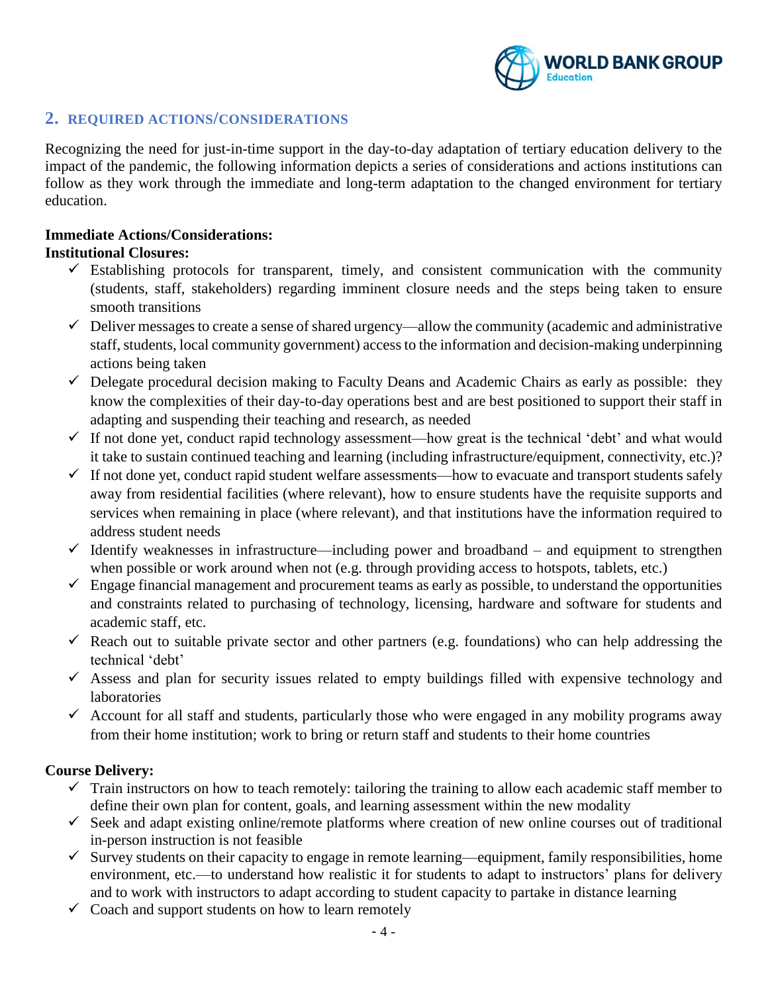

### **2. REQUIRED ACTIONS/CONSIDERATIONS**

Recognizing the need for just-in-time support in the day-to-day adaptation of tertiary education delivery to the impact of the pandemic, the following information depicts a series of considerations and actions institutions can follow as they work through the immediate and long-term adaptation to the changed environment for tertiary education.

# **Immediate Actions/Considerations:**

### **Institutional Closures:**

- $\checkmark$  Establishing protocols for transparent, timely, and consistent communication with the community (students, staff, stakeholders) regarding imminent closure needs and the steps being taken to ensure smooth transitions
- $\checkmark$  Deliver messages to create a sense of shared urgency—allow the community (academic and administrative staff, students, local community government) access to the information and decision-making underpinning actions being taken
- $\checkmark$  Delegate procedural decision making to Faculty Deans and Academic Chairs as early as possible: they know the complexities of their day-to-day operations best and are best positioned to support their staff in adapting and suspending their teaching and research, as needed
- $\checkmark$  If not done yet, conduct rapid technology assessment—how great is the technical 'debt' and what would it take to sustain continued teaching and learning (including infrastructure/equipment, connectivity, etc.)?
- $\checkmark$  If not done yet, conduct rapid student welfare assessments—how to evacuate and transport students safely away from residential facilities (where relevant), how to ensure students have the requisite supports and services when remaining in place (where relevant), and that institutions have the information required to address student needs
- $\checkmark$  Identify weaknesses in infrastructure—including power and broadband and equipment to strengthen when possible or work around when not (e.g. through providing access to hotspots, tablets, etc.)
- $\checkmark$  Engage financial management and procurement teams as early as possible, to understand the opportunities and constraints related to purchasing of technology, licensing, hardware and software for students and academic staff, etc.
- $\checkmark$  Reach out to suitable private sector and other partners (e.g. foundations) who can help addressing the technical 'debt'
- $\checkmark$  Assess and plan for security issues related to empty buildings filled with expensive technology and laboratories
- $\checkmark$  Account for all staff and students, particularly those who were engaged in any mobility programs away from their home institution; work to bring or return staff and students to their home countries

#### **Course Delivery:**

- $\checkmark$  Train instructors on how to teach remotely: tailoring the training to allow each academic staff member to define their own plan for content, goals, and learning assessment within the new modality
- $\checkmark$  Seek and adapt existing online/remote platforms where creation of new online courses out of traditional in-person instruction is not feasible
- $\checkmark$  Survey students on their capacity to engage in remote learning—equipment, family responsibilities, home environment, etc.—to understand how realistic it for students to adapt to instructors' plans for delivery and to work with instructors to adapt according to student capacity to partake in distance learning
- $\checkmark$  Coach and support students on how to learn remotely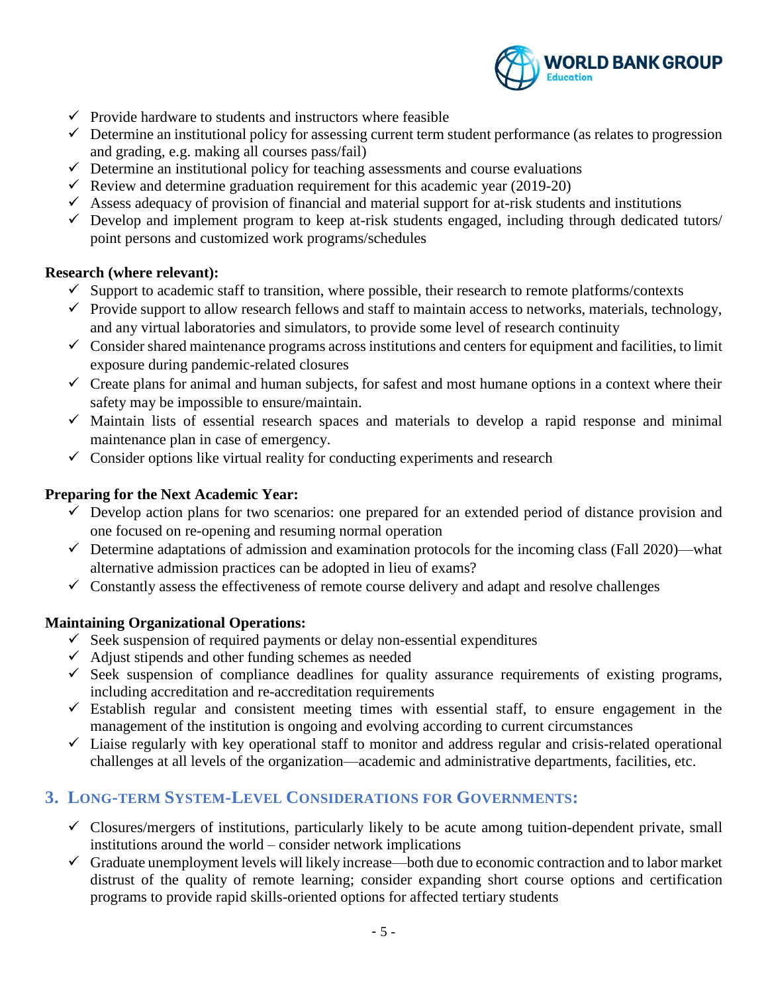

- $\checkmark$  Provide hardware to students and instructors where feasible
- $\checkmark$  Determine an institutional policy for assessing current term student performance (as relates to progression and grading, e.g. making all courses pass/fail)
- $\checkmark$  Determine an institutional policy for teaching assessments and course evaluations
- $\checkmark$  Review and determine graduation requirement for this academic year (2019-20)
- $\checkmark$  Assess adequacy of provision of financial and material support for at-risk students and institutions
- $\checkmark$  Develop and implement program to keep at-risk students engaged, including through dedicated tutors/ point persons and customized work programs/schedules

#### **Research (where relevant):**

- $\checkmark$  Support to academic staff to transition, where possible, their research to remote platforms/contexts
- $\checkmark$  Provide support to allow research fellows and staff to maintain access to networks, materials, technology, and any virtual laboratories and simulators, to provide some level of research continuity
- $\checkmark$  Consider shared maintenance programs across institutions and centers for equipment and facilities, to limit exposure during pandemic-related closures
- $\checkmark$  Create plans for animal and human subjects, for safest and most humane options in a context where their safety may be impossible to ensure/maintain.
- $\checkmark$  Maintain lists of essential research spaces and materials to develop a rapid response and minimal maintenance plan in case of emergency.
- $\checkmark$  Consider options like virtual reality for conducting experiments and research

#### **Preparing for the Next Academic Year:**

- $\checkmark$  Develop action plans for two scenarios: one prepared for an extended period of distance provision and one focused on re-opening and resuming normal operation
- $\checkmark$  Determine adaptations of admission and examination protocols for the incoming class (Fall 2020)—what alternative admission practices can be adopted in lieu of exams?
- $\checkmark$  Constantly assess the effectiveness of remote course delivery and adapt and resolve challenges

#### **Maintaining Organizational Operations:**

- $\checkmark$  Seek suspension of required payments or delay non-essential expenditures
- $\checkmark$  Adjust stipends and other funding schemes as needed
- $\checkmark$  Seek suspension of compliance deadlines for quality assurance requirements of existing programs, including accreditation and re-accreditation requirements
- $\checkmark$  Establish regular and consistent meeting times with essential staff, to ensure engagement in the management of the institution is ongoing and evolving according to current circumstances
- $\checkmark$  Liaise regularly with key operational staff to monitor and address regular and crisis-related operational challenges at all levels of the organization—academic and administrative departments, facilities, etc.

## **3. LONG-TERM SYSTEM-LEVEL CONSIDERATIONS FOR GOVERNMENTS:**

- $\checkmark$  Closures/mergers of institutions, particularly likely to be acute among tuition-dependent private, small institutions around the world – consider network implications
- $\checkmark$  Graduate unemployment levels will likely increase—both due to economic contraction and to labor market distrust of the quality of remote learning; consider expanding short course options and certification programs to provide rapid skills-oriented options for affected tertiary students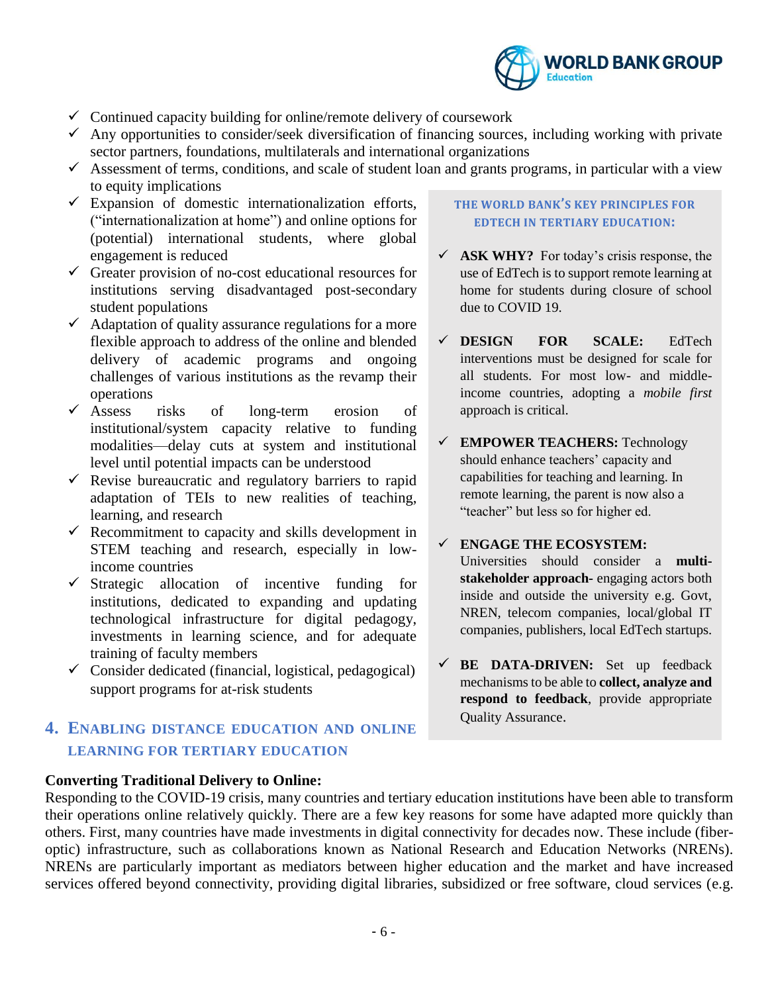

- $\checkmark$  Continued capacity building for online/remote delivery of coursework
- $\checkmark$  Any opportunities to consider/seek diversification of financing sources, including working with private sector partners, foundations, multilaterals and international organizations
- $\checkmark$  Assessment of terms, conditions, and scale of student loan and grants programs, in particular with a view to equity implications
- $\checkmark$  Expansion of domestic internationalization efforts, ("internationalization at home") and online options for (potential) international students, where global engagement is reduced
- ✓ Greater provision of no-cost educational resources for institutions serving disadvantaged post-secondary student populations
- $\checkmark$  Adaptation of quality assurance regulations for a more flexible approach to address of the online and blended delivery of academic programs and ongoing challenges of various institutions as the revamp their operations<br> $\checkmark$  Assess
- risks of long-term erosion of institutional/system capacity relative to funding modalities—delay cuts at system and institutional level until potential impacts can be understood
- $\checkmark$  Revise bureaucratic and regulatory barriers to rapid adaptation of TEIs to new realities of teaching, learning, and research
- $\checkmark$  Recommitment to capacity and skills development in STEM teaching and research, especially in lowincome countries
- $\checkmark$  Strategic allocation of incentive funding for institutions, dedicated to expanding and updating technological infrastructure for digital pedagogy, investments in learning science, and for adequate training of faculty members
- ✓ Consider dedicated (financial, logistical, pedagogical) support programs for at-risk students

# **4. ENABLING DISTANCE EDUCATION AND ONLINE LEARNING FOR TERTIARY EDUCATION**

#### **Converting Traditional Delivery to Online:**

#### **THE WORLD BANK'S KEY PRINCIPLES FOR EDTECH IN TERTIARY EDUCATION:**

- $\checkmark$  **ASK WHY?** For today's crisis response, the use of EdTech is to support remote learning at home for students during closure of school due to COVID 19.
- ✓ **DESIGN FOR SCALE:** EdTech interventions must be designed for scale for all students. For most low- and middleincome countries, adopting a *mobile first* approach is critical.
- ✓ **EMPOWER TEACHERS:** Technology should enhance teachers' capacity and capabilities for teaching and learning. In remote learning, the parent is now also a "teacher" but less so for higher ed.

#### ✓ **ENGAGE THE ECOSYSTEM:** Universities should consider a **multistakeholder approach-** engaging actors both inside and outside the university e.g. Govt, NREN, telecom companies, local/global IT companies, publishers, local EdTech startups.

✓ **BE DATA-DRIVEN:** Set up feedback mechanisms to be able to **collect, analyze and respond to feedback**, provide appropriate Quality Assurance.

Responding to the COVID-19 crisis, many countries and tertiary education institutions have been able to transform their operations online relatively quickly. There are a few key reasons for some have adapted more quickly than others. First, many countries have made investments in digital connectivity for decades now. These include (fiberoptic) infrastructure, such as collaborations known as National Research and Education Networks (NRENs). NRENs are particularly important as mediators between higher education and the market and have increased services offered beyond connectivity, providing digital libraries, subsidized or free software, cloud services (e.g.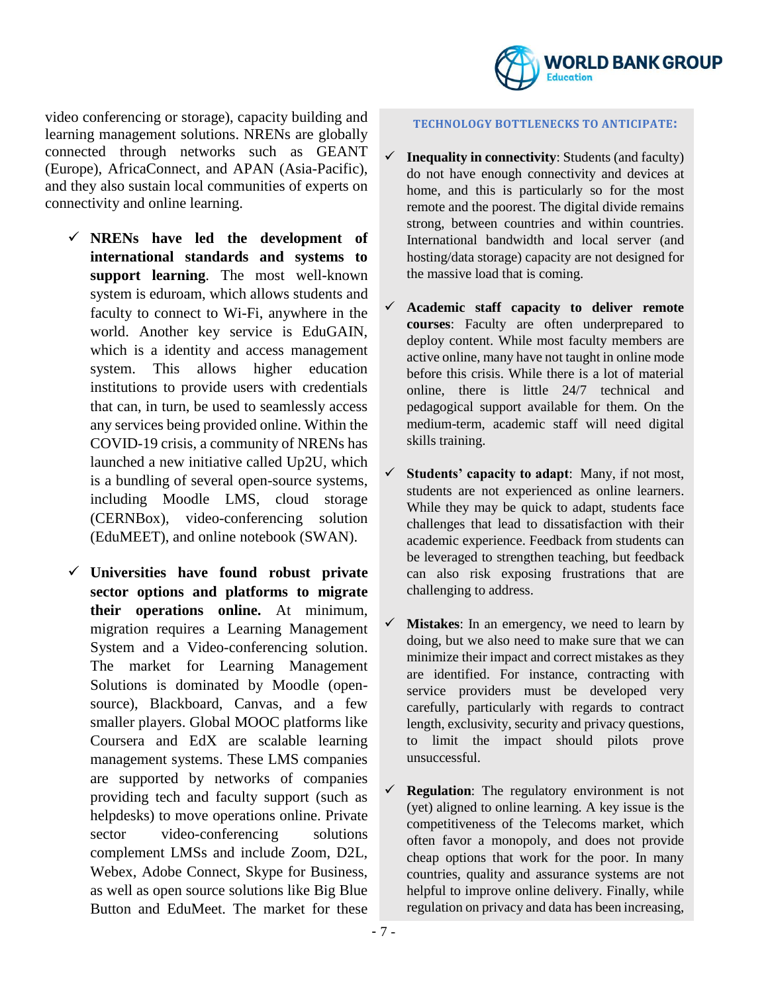

video conferencing or storage), capacity building and learning management solutions. NRENs are globally connected through networks such as GEANT (Europe), AfricaConnect, and APAN (Asia-Pacific), and they also sustain local communities of experts on connectivity and online learning.

- ✓ **NRENs have led the development of international standards and systems to support learning**. The most well-known system is eduroam, which allows students and faculty to connect to Wi-Fi, anywhere in the world. Another key service is EduGAIN, which is a identity and access management system. This allows higher education institutions to provide users with credentials that can, in turn, be used to seamlessly access any services being provided online. Within the COVID-19 crisis, a community of NRENs has launched a new initiative called Up2U, which is a bundling of several open-source systems, including Moodle LMS, cloud storage (CERNBox), video-conferencing solution (EduMEET), and online notebook (SWAN).
- ✓ **Universities have found robust private sector options and platforms to migrate their operations online.** At minimum, migration requires a Learning Management System and a Video-conferencing solution. The market for Learning Management Solutions is dominated by Moodle (opensource), Blackboard, Canvas, and a few smaller players. Global MOOC platforms like Coursera and EdX are scalable learning management systems. These LMS companies are supported by networks of companies providing tech and faculty support (such as helpdesks) to move operations online. Private sector video-conferencing solutions complement LMSs and include Zoom, D2L, Webex, Adobe Connect, Skype for Business, as well as open source solutions like Big Blue Button and EduMeet. The market for these

#### **TECHNOLOGY BOTTLENECKS TO ANTICIPATE:**

- $\checkmark$  **Inequality in connectivity**: Students (and faculty) do not have enough connectivity and devices at home, and this is particularly so for the most remote and the poorest. The digital divide remains strong, between countries and within countries. International bandwidth and local server (and hosting/data storage) capacity are not designed for the massive load that is coming.
- ✓ **Academic staff capacity to deliver remote courses**: Faculty are often underprepared to deploy content. While most faculty members are active online, many have not taught in online mode before this crisis. While there is a lot of material online, there is little 24/7 technical and pedagogical support available for them. On the medium-term, academic staff will need digital skills training.
- ✓ **Students' capacity to adapt**: Many, if not most, students are not experienced as online learners. While they may be quick to adapt, students face challenges that lead to dissatisfaction with their academic experience. Feedback from students can be leveraged to strengthen teaching, but feedback can also risk exposing frustrations that are challenging to address.
- ✓ **Mistakes**: In an emergency, we need to learn by doing, but we also need to make sure that we can minimize their impact and correct mistakes as they are identified. For instance, contracting with service providers must be developed very carefully, particularly with regards to contract length, exclusivity, security and privacy questions, to limit the impact should pilots prove unsuccessful.
- ✓ **Regulation**: The regulatory environment is not (yet) aligned to online learning. A key issue is the competitiveness of the Telecoms market, which often favor a monopoly, and does not provide cheap options that work for the poor. In many countries, quality and assurance systems are not helpful to improve online delivery. Finally, while regulation on privacy and data has been increasing,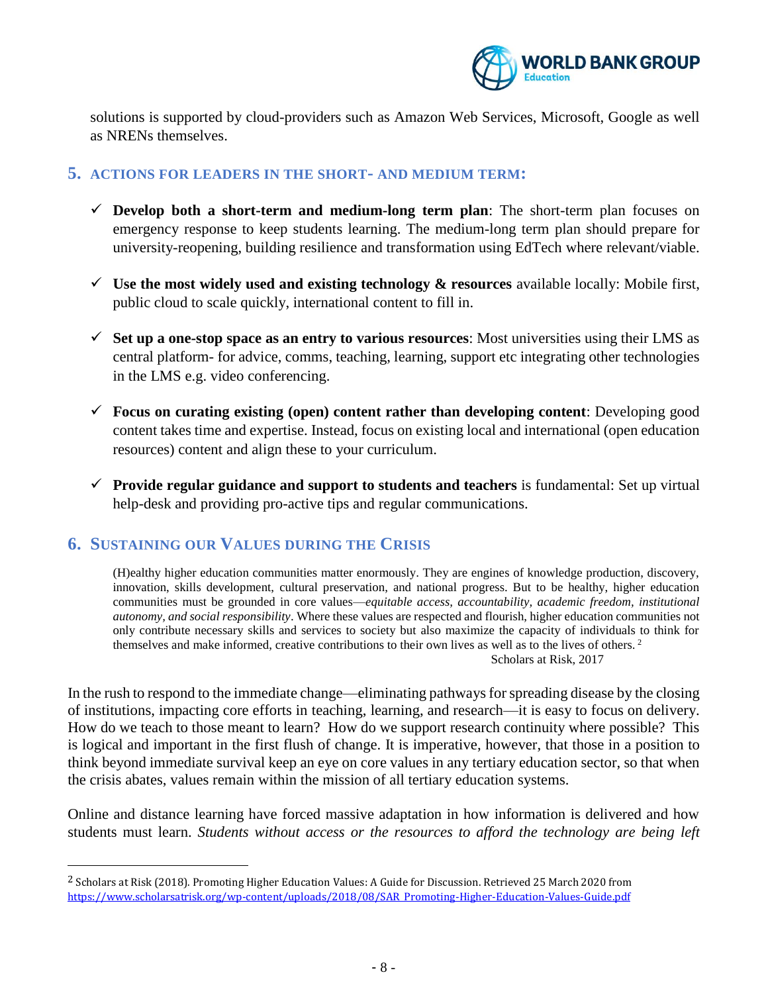

solutions is supported by cloud-providers such as Amazon Web Services, Microsoft, Google as well as NRENs themselves.

#### **5. ACTIONS FOR LEADERS IN THE SHORT- AND MEDIUM TERM:**

- $\checkmark$  **Develop both a short-term and medium-long term plan**: The short-term plan focuses on emergency response to keep students learning. The medium-long term plan should prepare for university-reopening, building resilience and transformation using EdTech where relevant/viable.
- $\checkmark$  Use the most widely used and existing technology  $\&$  resources available locally: Mobile first, public cloud to scale quickly, international content to fill in.
- $\checkmark$  Set up a one-stop space as an entry to various resources: Most universities using their LMS as central platform- for advice, comms, teaching, learning, support etc integrating other technologies in the LMS e.g. video conferencing.
- ✓ **Focus on curating existing (open) content rather than developing content**: Developing good content takes time and expertise. Instead, focus on existing local and international (open education resources) content and align these to your curriculum.
- ✓ **Provide regular guidance and support to students and teachers** is fundamental: Set up virtual help-desk and providing pro-active tips and regular communications.

#### **6. SUSTAINING OUR VALUES DURING THE CRISIS**

 $\overline{\phantom{a}}$ 

(H)ealthy higher education communities matter enormously. They are engines of knowledge production, discovery, innovation, skills development, cultural preservation, and national progress. But to be healthy, higher education communities must be grounded in core values—*equitable access, accountability, academic freedom, institutional autonomy, and social responsibility*. Where these values are respected and flourish, higher education communities not only contribute necessary skills and services to society but also maximize the capacity of individuals to think for themselves and make informed, creative contributions to their own lives as well as to the lives of others. <sup>2</sup> Scholars at Risk, 2017

In the rush to respond to the immediate change—eliminating pathways for spreading disease by the closing of institutions, impacting core efforts in teaching, learning, and research—it is easy to focus on delivery. How do we teach to those meant to learn? How do we support research continuity where possible? This is logical and important in the first flush of change. It is imperative, however, that those in a position to think beyond immediate survival keep an eye on core values in any tertiary education sector, so that when the crisis abates, values remain within the mission of all tertiary education systems.

Online and distance learning have forced massive adaptation in how information is delivered and how students must learn. *Students without access or the resources to afford the technology are being left* 

<sup>&</sup>lt;sup>2</sup> Scholars at Risk (2018). Promoting Higher Education Values: A Guide for Discussion. Retrieved 25 March 2020 from [https://www.scholarsatrisk.org/wp-content/uploads/2018/08/SAR\\_Promoting-Higher-Education-Values-Guide.pdf](https://www.scholarsatrisk.org/wp-content/uploads/2018/08/SAR_Promoting-Higher-Education-Values-Guide.pdf)